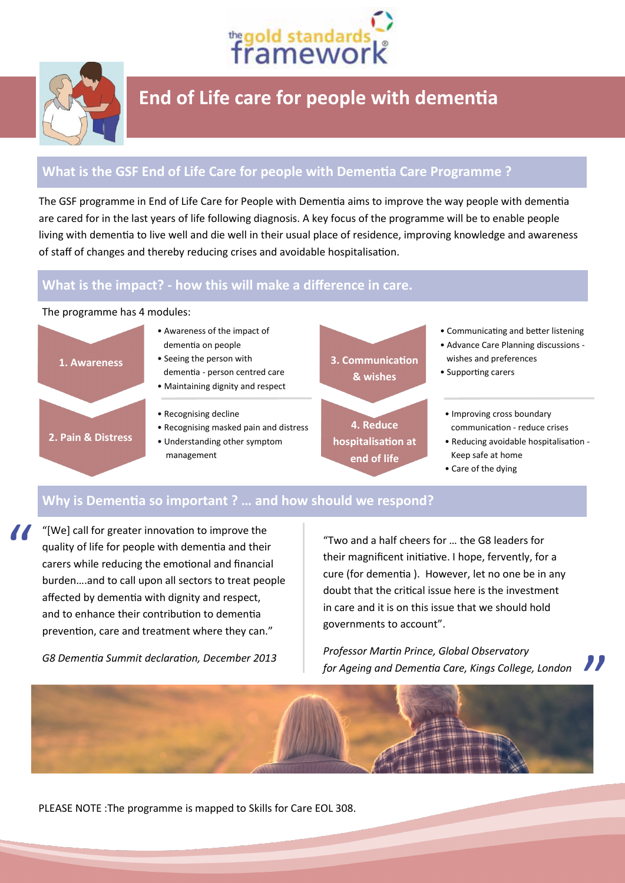



## **End of Life care for people with dementia**

### **What is the GSF End of Life Care for people with Dementia Care Programme ?**

The GSF programme in End of Life Care for People with Dementia aims to improve the way people with dementia are cared for in the last years of life following diagnosis. A key focus of the programme will be to enable people living with dementia to live well and die well in their usual place of residence, improving knowledge and awareness of staff of changes and thereby reducing crises and avoidable hospitalisation.

### **What is the impact? - how this will make a difference in care.**

#### The programme has 4 modules:

"



#### **Why is Dementia so important ? … and how should we respond?**

"[We] call for greater innovation to improve the quality of life for people with dementia and their carers while reducing the emotional and financial burden….and to call upon all sectors to treat people affected by dementia with dignity and respect, and to enhance their contribution to dementia prevention, care and treatment where they can."

*G8 Dementia Summit declaration, December 2013*

"Two and a half cheers for … the G8 leaders for their magnificent initiative. I hope, fervently, for a cure (for dementia ). However, let no one be in any doubt that the critical issue here is the investment in care and it is on this issue that we should hold governments to account".

*Professor Martin Prince, Global Observatory for Ageing and Dementia Care, Kings College, London*



PLEASE NOTE :The programme is mapped to Skills for Care EOL 308.